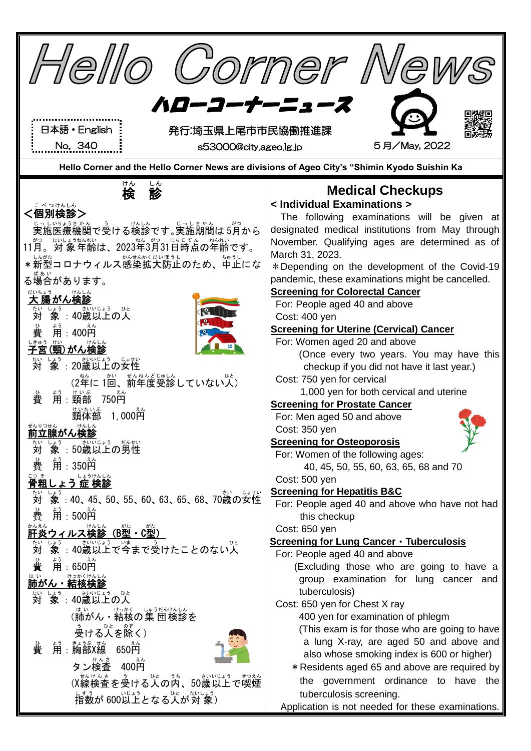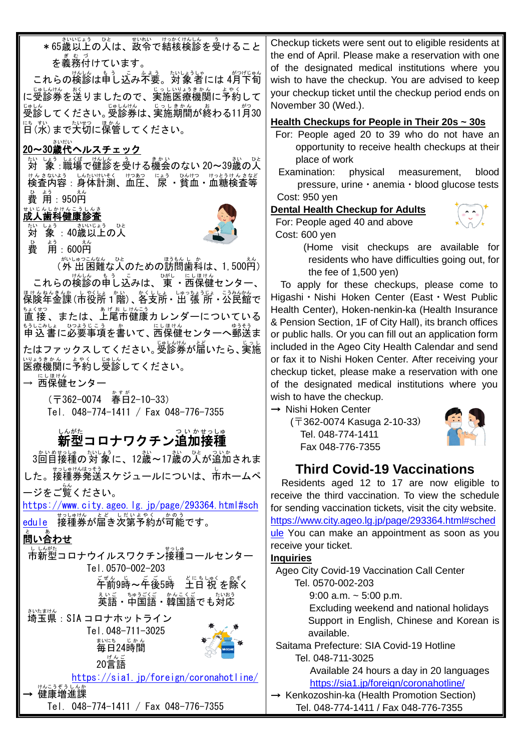\*65歳以上の人は、故令で結核検診を受けること 。。。。。<br>を義務付けています。

これらの検診は申し込み不要。対象者には 4月下旬 に<sub>受診券を送りましたので、実施医療機関に予約して</sub> 受診 じゅしん してください。受診券 じゅしんけん は、実施 じっし 期間 きかん が終わる お 11月 がつ 30 <sub>にもすい</sub><br>日(水)まで大切に保管してください。

### 20~30歳代 さいだい ヘルスチェック

<u>おしょうしょくばっぱん。る</u><br>対 象 :職場で健診を受ける機会のない 20~39歳の人 サんきないよう しんたいけいそく けつあつ じょう ひけつ けっとうけんきなど 費 ひ 用 よう :950円 えん

#### <sub>せいじんしかけんこうしんさ</sub><br>成人歯科健康診査

<sub>たい しょう</sub><br>対 象 :40歳以上の人



費 ひ 用 よう :600円 えん

、<br>(外 出 困難な人のための訪問歯科は、1,500円) これらの検診の申し込みは、、薬し、にほけん<br>これらの検診の申し込みは、 東 ・西保健センター、 ほけんねんきんか、しゃくしょ。しゅっちょうじょ こうみんかん<br>保険年金課(市役所1階)、各支所・出 張 所・公民館で <u>なくお</u>。<br>直 接 、または、上尾市健康カレンダーについている もうしこみしょ ひょうじこう。 かいこう こうまう<br>申 込 書 に必要事項を書いて、西保健センターへ郵送ま たはファックスしてください。受診券 じゅしんけん が届 とど いたら、実施 じっし 医療 いりょう 機関 きかん に予約 よやく し受診 じゅしん してください。

→ 远保健センター

(〒362−0074 春日2−10−33) Tel. 048-774-1411 / Fax 048-776-7355

## し。<sub>がた</sub><br>新型コロナワクチン追加接種

。……。……。<br>3回目接種の対 象に、12歳~17歳の人が追加されま した。接種券発送スケジュールについは、市ホームペ ージをご覧 らん ください。

[https://www.city.ageo.lg.jp/page/293364.html#sch](https://www.city.ageo.lg.jp/page/293364.html#schedule) [edule](https://www.city.ageo.lg.jp/page/293364.html#schedule) 接種券が届き次第予約が可能です。

## 問い合わせ と あ

しいが、<br>市新型コロナウイルスワクチン接種コールセンター Tel.0570-002-203

こぜん。」<br>午前9時〜午後5時 土日 祝 を除く 英語 えいご ・中国語 ちゅうごくご ・韓国語 かんこくご でも対応 たいおう

<sub>さいたまけん</sub><br>埼玉県 : SIA コロナホットライン Tel.048-711-3025 まいにち じかん<br>毎日24時間



<https://sia1.jp/foreign/coronahotline/>

→ 健康増進課 Tel. 048-774-1411 / Fax 048-776-7355

20言語 げんご

Checkup tickets were sent out to eligible residents at the end of April. Please make a reservation with one of the designated medical institutions where you wish to have the checkup. You are advised to keep your checkup ticket until the checkup period ends on November 30 (Wed.).

#### **Health Checkups for People in Their 20s ~ 30s**

- For: People aged 20 to 39 who do not have an opportunity to receive health checkups at their place of work
- Examination: physical measurement, blood pressure, urine・anemia・blood glucose tests Cost: 950 yen

#### **Dental Health Checkup for Adults**

For: People aged 40 and above Cost: 600 yen



(Home visit checkups are available for residents who have difficulties going out, for the fee of 1,500 yen)

To apply for these checkups, please come to Higashi・Nishi Hoken Center (East・West Public Health Center), Hoken-nenkin-ka (Health Insurance & Pension Section, 1F of City Hall), its branch offices or public halls. Or you can fill out an application form included in the Ageo City Health Calendar and send or fax it to Nishi Hoken Center. After receiving your checkup ticket, please make a reservation with one of the designated medical institutions where you wish to have the checkup.

→ Nishi Hoken Center

(〒362-0074 Kasuga 2-10-33) Tel. 048-774-1411 Fax 048-776-7355



#### **Third Covid-19 Vaccinations**

Residents aged 12 to 17 are now eligible to receive the third vaccination. To view the schedule for sending vaccination tickets, visit the city website. [https://www.city.ageo.lg.jp/page/293364.html#sched](https://www.city.ageo.lg.jp/page/293364.html#schedule) [ule](https://www.city.ageo.lg.jp/page/293364.html#schedule) You can make an appointment as soon as you receive your ticket.

#### **Inquiries**

Ageo City Covid-19 Vaccination Call Center Tel. 0570-002-203

9:00 a.m.  $\sim$  5:00 p.m.

Excluding weekend and national holidays Support in English, Chinese and Korean is available.

Saitama Prefecture: SIA Covid-19 Hotline Tel. 048-711-3025

Available 24 hours a day in 20 languages <https://sia1.jp/foreign/coronahotline/>

→ Kenkozoshin-ka (Health Promotion Section) Tel. 048-774-1411 / Fax 048-776-7355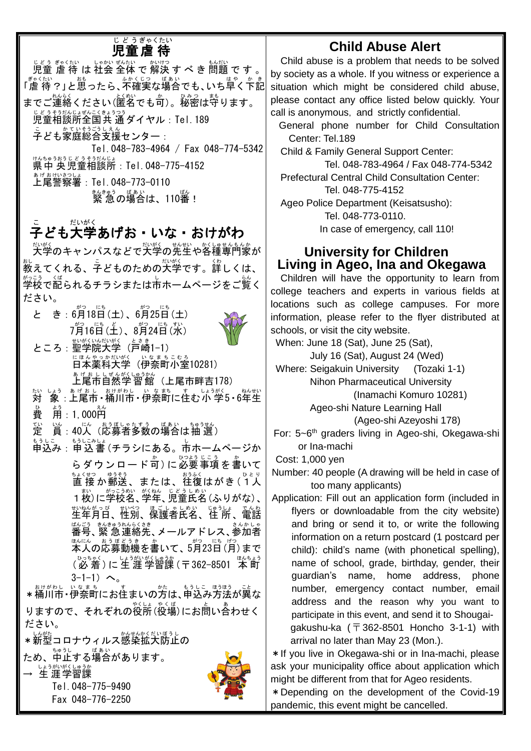#### 児童 虐 待 じどう ぎゃくたい

<sub>じどう ぎゃくたい しゅかぜんたい しゅいけつ ひょう ぎゃくたい しょかいぜんたい かいけつ すいかい しゅかい かいけつ さんだい ですする</sub> <sup>゠ぎゃくたい</sup><br>「虐 待 ?」と思ったら、不確実な場合でも、いち早く下記 までご連絡ください(匿名でも可)。秘密は守ります。 <u>じどうそうだんじょもいっ</u><br>児童相談所全国共 通ダイヤル : Tel. 189 <sub>こ</sub><br>子ども家庭総合支援センター : Tel.048-783-4964 / Fax 048-774-5342 <sub>けんちゅうおうじょうそうだ。</sub><br>県中 央児童相談所:Tel. 048-775-4152 ま<sub>げおけい</sub>。<br>**上尾警察署:Tel.048-773-0110** <sub>まんきゅう</sub> <sub>ばあい</sub><br>|緊 急 の場合は、110番! ゠<br>子ども大学あげお・いな・おけがわ <sub>だいがく</sub><br>大学のキャンパスなどで大学の先生や各種専門家が  $\overset{\scriptscriptstyle 1}{\phantom{}_{\sim}}$ 教えてくれる、子どものための大学です。詳しくは、 \*;。:,。 <ば<br>学校で配られるチラシまたは市ホームページをご覧く ださい。 と き:6月18日(土)、6月25日(土) フ<sup>゙゙゙゙</sup>゚ヮ゙ぅ (ニ゙ぅ (ヾ)<br>7月16日(土)、8月24日(水) ところ : 聖学院大学(戸崎1-1) にほんやっかが淡 (伊奈町小室10281) 。<sub>『おもしぜんがくじゅうかん</sub><br>上尾市自然学 習館 (上尾市畔吉178) ホハ しょぅ ぁゖぉゎ ―ぉゖゕゎし ぃゑ薪 」ょ゙゙ゎい゙ぅ゙゙゙ヅ゙ゝ • 6年生 。<br>費 。<br>用:1, 000ല 定 てい )。<br>眞:40人(応募者多数の場合は抽 選) もぅしこ もぅしこぁしょ<br>申込み : 申 込 書 (チラシにある。市ホームページか らダウンロード可)に必要事項を書いて <u>まくせつ。ゆうそう</u><br>直 接 か郵送、または、往復はがき (1人 1枚 まい )に学校名 がっこうめい 、学年 がくねん 、児童 じどう 氏名 しめい (ふりがな)、 ᠊᠊᠊᠊᠊៲៶៱៱៱៹៹៰<br>生年月日、性別、保護者氏名、住 所、電話 <sub>ばんごう きんきゅうれんらくきき。</sub><br>番号、緊 急 連絡先 、メールアドレス、参加者 <sub>ほんにん ぉぅぼどぅぇ。。。<br>本人の応募動機を書いて、5月23日(月)まで</sub> 、ひっちゃく、 しょうがいがくしゅうか。<br>(必 着 )に 生 涯 学習課 (〒362−8501 本 町  $3-1-1$ )  $\sim$ 。 \*桶川市・伊奈町にお住まいの方は、申込み方法が異な りますので、それぞれの役所(役場)にお問い合わせく ださい。 \*新型コロナウィルス感染拡大防止の ため、<sup>ちゅうし</sup> る場合があります。 → 生涯学習課

> Tel.048-775-9490 Fax 048-776-2250

## **Child Abuse Alert**

Child abuse is a problem that needs to be solved by society as a whole. If you witness or experience a situation which might be considered child abuse, please contact any office listed below quickly. Your call is anonymous, and strictly confidential.

General phone number for Child Consultation Center: Tel.189

Child & Family General Support Center: Tel. 048-783-4964 / Fax 048-774-5342 Prefectural Central Child Consultation Center: Tel. 048-775-4152 Ageo Police Department (Keisatsusho): Tel. 048-773-0110. In case of emergency, call 110!

### **University for Children Living in Ageo, Ina and Okegawa**

Children will have the opportunity to learn from college teachers and experts in various fields at locations such as college campuses. For more information, please refer to the flyer distributed at schools, or visit the city website.

When: June 18 (Sat), June 25 (Sat), July 16 (Sat), August 24 (Wed)

Where: Seigakuin University (Tozaki 1-1) Nihon Pharmaceutical University

(Inamachi Komuro 10281)

Ageo-shi Nature Learning Hall

(Ageo-shi Azeyoshi 178)

For: 5~6<sup>th</sup> graders living in Ageo-shi, Okegawa-shi or Ina-machi

Cost: 1,000 yen

Number: 40 people (A drawing will be held in case of too many applicants)

Application: Fill out an application form (included in flyers or downloadable from the city website) and bring or send it to, or write the following information on a return postcard (1 postcard per child): child's name (with phonetical spelling), name of school, grade, birthday, gender, their guardian's name, home address, phone number, emergency contact number, email address and the reason why you want to participate in this event, and send it to Shougaigakushu-ka  $(\bar{\tau}362-8501)$  Honcho 3-1-1) with arrival no later than May 23 (Mon.).

\*If you live in Okegawa-shi or in Ina-machi, please ask your municipality office about application which might be different from that for Ageo residents.

\*Depending on the development of the Covid-19 pandemic, this event might be cancelled.